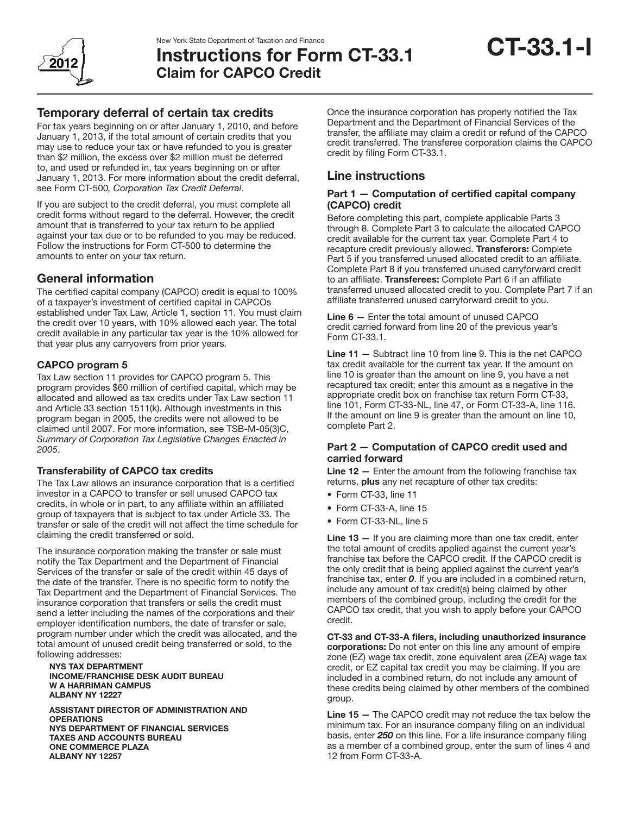

# Instructions for Form CT-33.1 Claim for CAPCO Credit

# Temporary deferral of certain tax credits

For tax years beginning on or after January 1, 2010, and before January 1, 2013, if the total amount of certain credits that you may use to reduce your tax or have refunded to you is greater than \$2 million, the excess over \$2 million must be deferred to, and used or refunded in, tax years beginning on or after January 1, 2013. For more information about the credit deferral, see Form CT-500*, Corporation Tax Credit Deferral*.

If you are subject to the credit deferral, you must complete all credit forms without regard to the deferral. However, the credit amount that is transferred to your tax return to be applied against your tax due or to be refunded to you may be reduced. Follow the instructions for Form CT-500 to determine the amounts to enter on your tax return.

# General information

The certified capital company (CAPCO) credit is equal to 100% of a taxpayer's investment of certified capital in CAPCOs established under Tax Law, Article 1, section 11. You must claim the credit over 10 years, with 10% allowed each year. The total credit available in any particular tax year is the 10% allowed for that year plus any carryovers from prior years.

# CAPCO program 5

Tax Law section 11 provides for CAPCO program 5. This program provides \$60 million of certified capital, which may be allocated and allowed as tax credits under Tax Law section 11 and Article 33 section 1511(k). Although investments in this program began in 2005, the credits were not allowed to be claimed until 2007. For more information, see TSB-M-05(3)C, *Summary of Corporation Tax Legislative Changes Enacted in 2005*.

# Transferability of CAPCO tax credits

The Tax Law allows an insurance corporation that is a certified investor in a CAPCO to transfer or sell unused CAPCO tax credits, in whole or in part, to any affiliate within an affiliated group of taxpayers that is subject to tax under Article 33. The transfer or sale of the credit will not affect the time schedule for claiming the credit transferred or sold.

The insurance corporation making the transfer or sale must notify the Tax Department and the Department of Financial Services of the transfer or sale of the credit within 45 days of the date of the transfer. There is no specific form to notify the Tax Department and the Department of Financial Services. The insurance corporation that transfers or sells the credit must send a letter including the names of the corporations and their employer identification numbers, the date of transfer or sale, program number under which the credit was allocated, and the total amount of unused credit being transferred or sold, to the following addresses:

#### NYS TAX DEPARTMENT INCOME/FRANCHISE DESK AUDIT BUREAU W A HARRIMAN CAMPUS ALBANY NY 12227

ASSISTANT DIRECTOR OF ADMINISTRATION AND **OPERATIONS** NYS DEPARTMENT OF FINANCIAL SERVICES TAXES AND ACCOUNTS BUREAU ONE COMMERCE PLAZA ALBANY NY 12257

Once the insurance corporation has properly notified the Tax Department and the Department of Financial Services of the transfer, the affiliate may claim a credit or refund of the CAPCO credit transferred. The transferee corporation claims the CAPCO credit by filing Form CT-33.1.

# Line instructions

## Part 1 — Computation of certified capital company (CAPCO) credit

Before completing this part, complete applicable Parts 3 through 8. Complete Part 3 to calculate the allocated CAPCO credit available for the current tax year. Complete Part 4 to recapture credit previously allowed. Transferors: Complete Part 5 if you transferred unused allocated credit to an affiliate. Complete Part 8 if you transferred unused carryforward credit to an affiliate. Transferees: Complete Part 6 if an affiliate transferred unused allocated credit to you. Complete Part 7 if an affiliate transferred unused carryforward credit to you.

Line 6 — Enter the total amount of unused CAPCO credit carried forward from line 20 of the previous year's Form CT-33.1.

Line 11 — Subtract line 10 from line 9. This is the net CAPCO tax credit available for the current tax year. If the amount on line 10 is greater than the amount on line 9, you have a net recaptured tax credit; enter this amount as a negative in the appropriate credit box on franchise tax return Form CT-33, line 101, Form CT-33-NL, line 47, or Form CT-33-A, line 116. If the amount on line 9 is greater than the amount on line 10, complete Part 2.

## Part 2 — Computation of CAPCO credit used and carried forward

**Line 12**  $-$  Enter the amount from the following franchise tax returns, plus any net recapture of other tax credits:

- Form CT-33, line 11
- Form CT-33-A, line 15
- Form CT-33-NL, line 5

Line 13 - If you are claiming more than one tax credit, enter the total amount of credits applied against the current year's franchise tax before the CAPCO credit. If the CAPCO credit is the only credit that is being applied against the current year's franchise tax, enter *0*. If you are included in a combined return, include any amount of tax credit(s) being claimed by other members of the combined group, including the credit for the CAPCO tax credit, that you wish to apply before your CAPCO credit.

CT-33 and CT-33-A filers, including unauthorized insurance corporations: Do not enter on this line any amount of empire zone (EZ) wage tax credit, zone equivalent area (ZEA) wage tax credit, or EZ capital tax credit you may be claiming. If you are included in a combined return, do not include any amount of these credits being claimed by other members of the combined group.

Line 15 — The CAPCO credit may not reduce the tax below the minimum tax. For an insurance company filing on an individual basis, enter *250* on this line. For a life insurance company filing as a member of a combined group, enter the sum of lines 4 and 12 from Form CT-33-A.